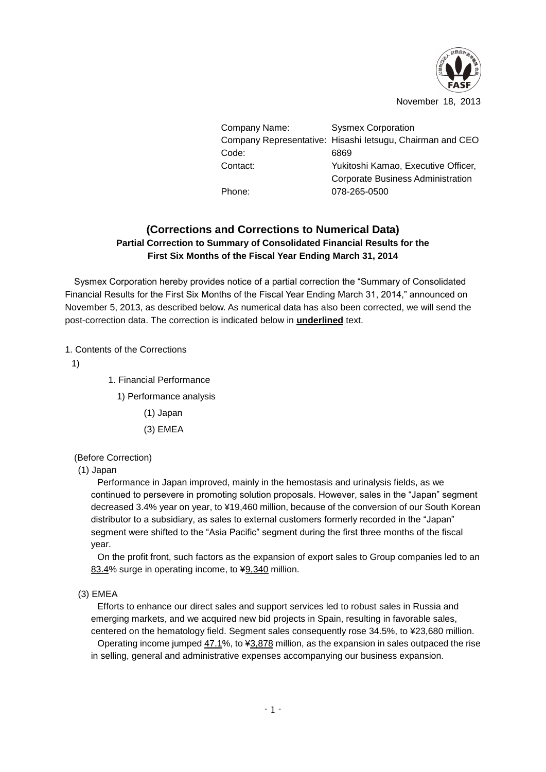

November 18, 2013

| Company Name: | <b>Sysmex Corporation</b>                                 |
|---------------|-----------------------------------------------------------|
|               | Company Representative: Hisashi letsugu, Chairman and CEO |
| Code:         | 6869                                                      |
| Contact:      | Yukitoshi Kamao, Executive Officer,                       |
|               | <b>Corporate Business Administration</b>                  |
| Phone:        | 078-265-0500                                              |

# **(Corrections and Corrections to Numerical Data) Partial Correction to Summary of Consolidated Financial Results for the First Six Months of the Fiscal Year Ending March 31, 2014**

Sysmex Corporation hereby provides notice of a partial correction the "Summary of Consolidated Financial Results for the First Six Months of the Fiscal Year Ending March 31, 2014," announced on November 5, 2013, as described below. As numerical data has also been corrected, we will send the post-correction data. The correction is indicated below in **underlined** text.

# 1. Contents of the Corrections

1)

- 1. Financial Performance
	- 1) Performance analysis
		- (1) Japan
		- (3) EMEA

## (Before Correction)

## (1) Japan

Performance in Japan improved, mainly in the hemostasis and urinalysis fields, as we continued to persevere in promoting solution proposals. However, sales in the "Japan" segment decreased 3.4% year on year, to ¥19,460 million, because of the conversion of our South Korean distributor to a subsidiary, as sales to external customers formerly recorded in the "Japan" segment were shifted to the "Asia Pacific" segment during the first three months of the fiscal year.

On the profit front, such factors as the expansion of export sales to Group companies led to an 83.4% surge in operating income, to ¥9,340 million.

(3) EMEA

Efforts to enhance our direct sales and support services led to robust sales in Russia and emerging markets, and we acquired new bid projects in Spain, resulting in favorable sales, centered on the hematology field. Segment sales consequently rose 34.5%, to ¥23,680 million. Operating income jumped  $47.1\%$ , to  $43.878$  million, as the expansion in sales outpaced the rise in selling, general and administrative expenses accompanying our business expansion.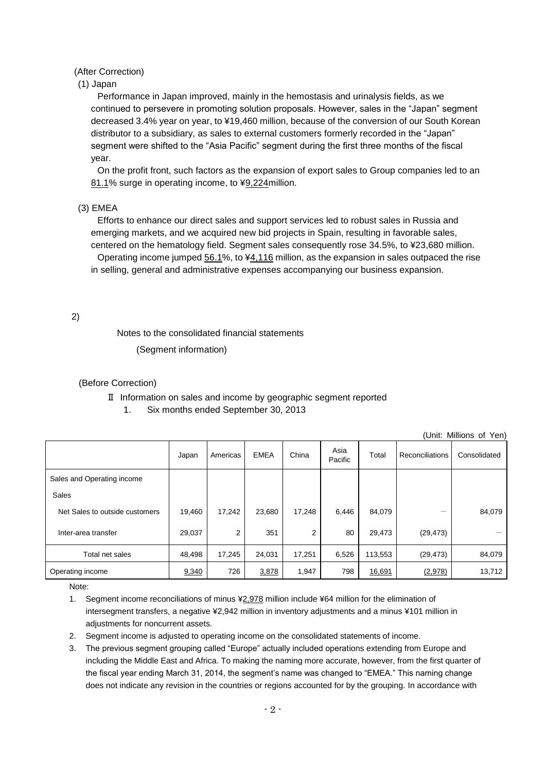### (After Correction)

### (1) Japan

Performance in Japan improved, mainly in the hemostasis and urinalysis fields, as we continued to persevere in promoting solution proposals. However, sales in the "Japan" segment decreased 3.4% year on year, to ¥19,460 million, because of the conversion of our South Korean distributor to a subsidiary, as sales to external customers formerly recorded in the "Japan" segment were shifted to the "Asia Pacific" segment during the first three months of the fiscal year.

On the profit front, such factors as the expansion of export sales to Group companies led to an 81.1% surge in operating income, to ¥9,224million.

### (3) EMEA

Efforts to enhance our direct sales and support services led to robust sales in Russia and emerging markets, and we acquired new bid projects in Spain, resulting in favorable sales, centered on the hematology field. Segment sales consequently rose 34.5%, to ¥23,680 million. Operating income jumped 56.1%, to ¥4,116 million, as the expansion in sales outpaced the rise in selling, general and administrative expenses accompanying our business expansion.

2)

Notes to the consolidated financial statements

(Segment information)

#### (Before Correction)

### Ⅱ Information on sales and income by geographic segment reported

1. Six months ended September 30, 2013

(Unit: Millions of Yen)

|                                | Japan  | Americas | <b>EMEA</b> | China  | Asia<br>Pacific | Total   | Reconciliations | Consolidated |
|--------------------------------|--------|----------|-------------|--------|-----------------|---------|-----------------|--------------|
| Sales and Operating income     |        |          |             |        |                 |         |                 |              |
| Sales                          |        |          |             |        |                 |         |                 |              |
| Net Sales to outside customers | 19,460 | 17,242   | 23,680      | 17,248 | 6,446           | 84,079  |                 | 84,079       |
| Inter-area transfer            | 29,037 | 2        | 351         | 2      | 80              | 29,473  | (29, 473)       |              |
| Total net sales                | 48,498 | 17,245   | 24,031      | 17,251 | 6,526           | 113,553 | (29, 473)       | 84,079       |
| Operating income               | 9,340  | 726      | 3,878       | 1,947  | 798             | 16,691  | (2,978)         | 13,712       |

Note:

1. Segment income reconciliations of minus ¥2,978 million include ¥64 million for the elimination of intersegment transfers, a negative ¥2,942 million in inventory adjustments and a minus ¥101 million in adiustments for noncurrent assets.

2. Segment income is adjusted to operating income on the consolidated statements of income.

3. The previous segment grouping called "Europe" actually included operations extending from Europe and including the Middle East and Africa. To making the naming more accurate, however, from the first quarter of the fiscal year ending March 31, 2014, the segment's name was changed to "EMEA." This naming change does not indicate any revision in the countries or regions accounted for by the grouping. In accordance with